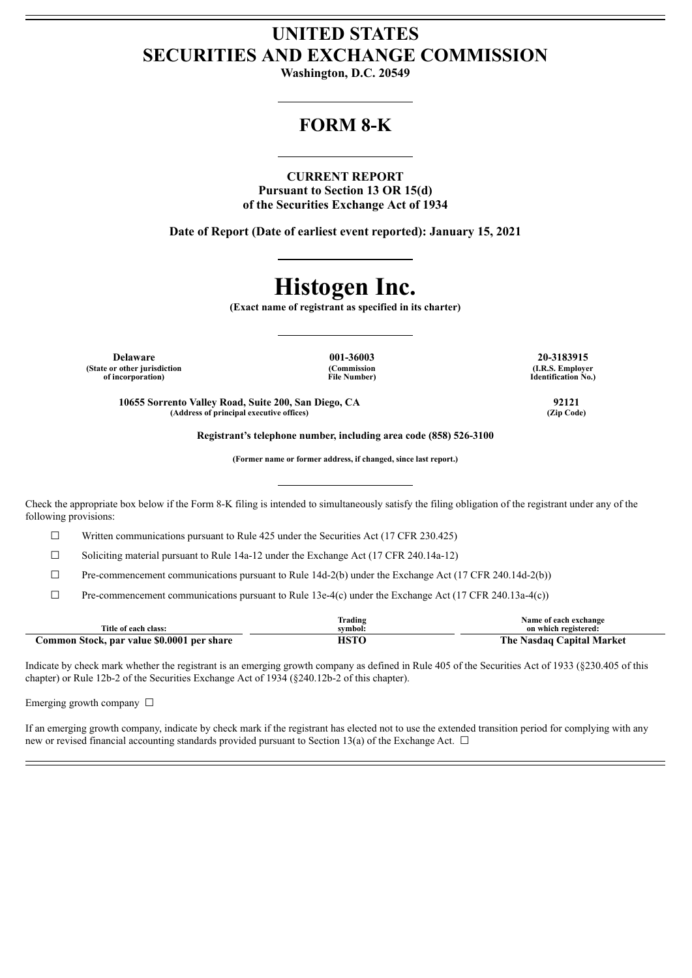## **UNITED STATES SECURITIES AND EXCHANGE COMMISSION**

**Washington, D.C. 20549**

### **FORM 8-K**

**CURRENT REPORT Pursuant to Section 13 OR 15(d) of the Securities Exchange Act of 1934**

**Date of Report (Date of earliest event reported): January 15, 2021**

## **Histogen Inc.**

**(Exact name of registrant as specified in its charter)**

**Delaware 001-36003 20-3183915 (State or other jurisdiction of incorporation)**

**(Commission File Number)**

**(I.R.S. Employer Identification No.)**

**10655 Sorrento Valley Road, Suite 200, San Diego, CA 92121 (Address of principal executive offices) (Zip Code)**

**Registrant's telephone number, including area code (858) 526-3100**

**(Former name or former address, if changed, since last report.)**

Check the appropriate box below if the Form 8-K filing is intended to simultaneously satisfy the filing obligation of the registrant under any of the following provisions:

☐ Written communications pursuant to Rule 425 under the Securities Act (17 CFR 230.425)

☐ Soliciting material pursuant to Rule 14a-12 under the Exchange Act (17 CFR 240.14a-12)

 $\Box$  Pre-commencement communications pursuant to Rule 14d-2(b) under the Exchange Act (17 CFR 240.14d-2(b))

 $\Box$  Pre-commencement communications pursuant to Rule 13e-4(c) under the Exchange Act (17 CFR 240.13a-4(c))

|                                            | Trading      | Name of each exchange     |
|--------------------------------------------|--------------|---------------------------|
| Title of each class:                       | svmbol:      | on which registered:      |
| Common Stock, par value \$0.0001 per share | $_{\rm ICT}$ | The Nasdag Capital Market |

Indicate by check mark whether the registrant is an emerging growth company as defined in Rule 405 of the Securities Act of 1933 (§230.405 of this chapter) or Rule 12b-2 of the Securities Exchange Act of 1934 (§240.12b-2 of this chapter).

Emerging growth company  $\Box$ 

If an emerging growth company, indicate by check mark if the registrant has elected not to use the extended transition period for complying with any new or revised financial accounting standards provided pursuant to Section 13(a) of the Exchange Act.  $\Box$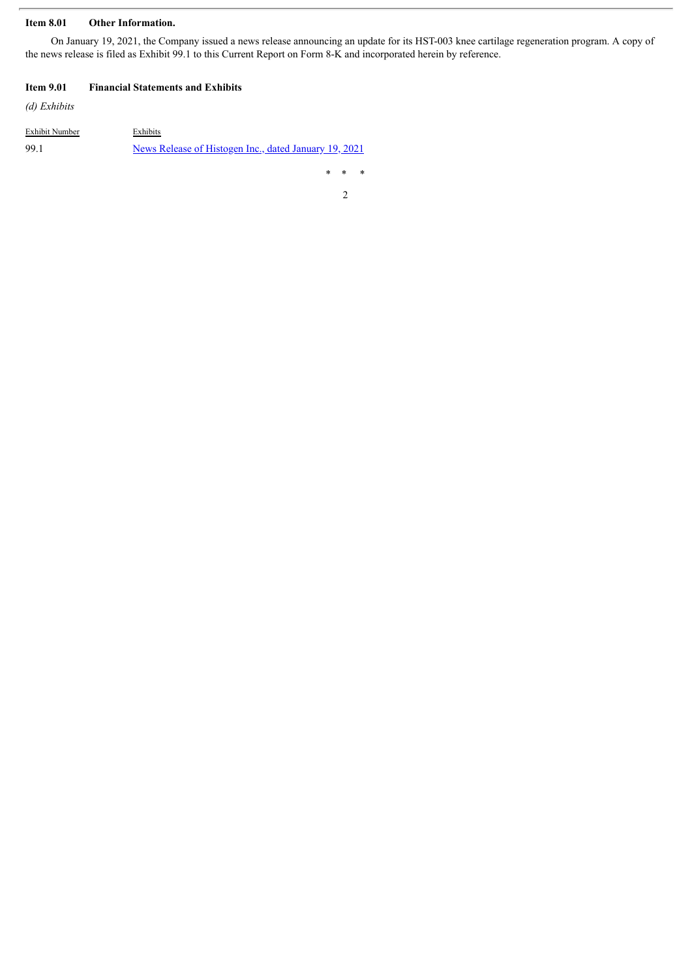#### **Item 8.01 Other Information.**

On January 19, 2021, the Company issued a news release announcing an update for its HST-003 knee cartilage regeneration program. A copy of the news release is filed as Exhibit 99.1 to this Current Report on Form 8-K and incorporated herein by reference.

#### **Item 9.01 Financial Statements and Exhibits**

*(d) Exhibits*

| Exhibit Number | Exhibits                                              |
|----------------|-------------------------------------------------------|
| -99.1          | News Release of Histogen Inc., dated January 19, 2021 |

\* \* \*

2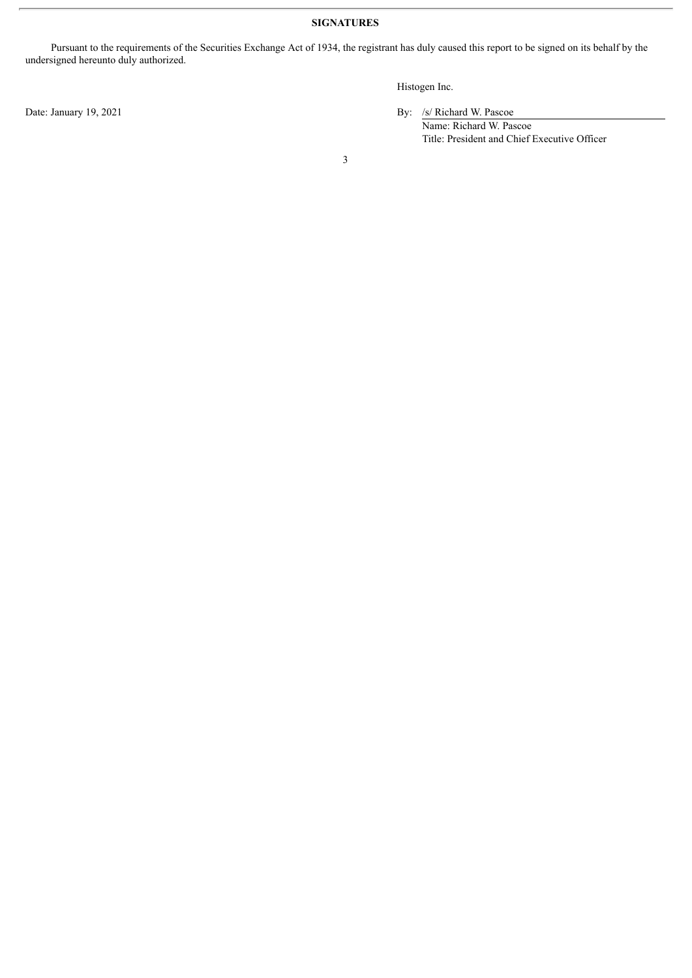#### **SIGNATURES**

Pursuant to the requirements of the Securities Exchange Act of 1934, the registrant has duly caused this report to be signed on its behalf by the undersigned hereunto duly authorized.

Histogen Inc.

Date: January 19, 2021 By: /s/ Richard W. Pascoe

Name: Richard W. Pascoe Title: President and Chief Executive Officer

3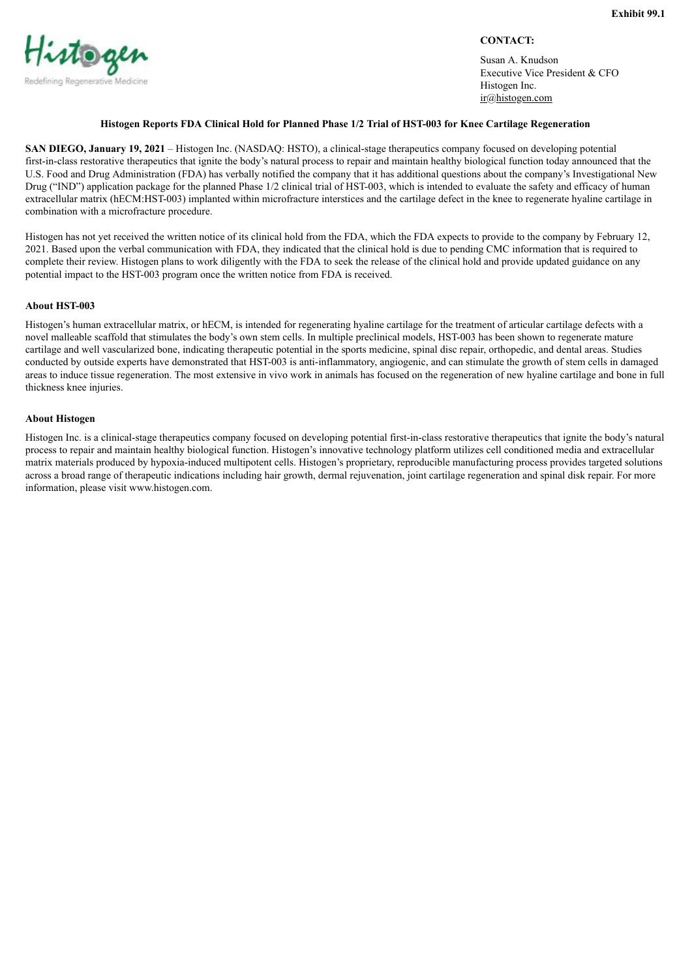# <span id="page-3-0"></span>Histogen Redefining Regenerative Medicine

#### **CONTACT:**

Susan A. Knudson Executive Vice President & CFO Histogen Inc. ir@histogen.com

#### **Histogen Reports FDA Clinical Hold for Planned Phase 1/2 Trial of HST-003 for Knee Cartilage Regeneration**

**SAN DIEGO, January 19, 2021** – Histogen Inc. (NASDAQ: HSTO), a clinical-stage therapeutics company focused on developing potential first-in-class restorative therapeutics that ignite the body's natural process to repair and maintain healthy biological function today announced that the U.S. Food and Drug Administration (FDA) has verbally notified the company that it has additional questions about the company's Investigational New Drug ("IND") application package for the planned Phase 1/2 clinical trial of HST-003, which is intended to evaluate the safety and efficacy of human extracellular matrix (hECM:HST-003) implanted within microfracture interstices and the cartilage defect in the knee to regenerate hyaline cartilage in combination with a microfracture procedure.

Histogen has not yet received the written notice of its clinical hold from the FDA, which the FDA expects to provide to the company by February 12, 2021. Based upon the verbal communication with FDA, they indicated that the clinical hold is due to pending CMC information that is required to complete their review. Histogen plans to work diligently with the FDA to seek the release of the clinical hold and provide updated guidance on any potential impact to the HST-003 program once the written notice from FDA is received.

#### **About HST-003**

Histogen's human extracellular matrix, or hECM, is intended for regenerating hyaline cartilage for the treatment of articular cartilage defects with a novel malleable scaffold that stimulates the body's own stem cells. In multiple preclinical models, HST-003 has been shown to regenerate mature cartilage and well vascularized bone, indicating therapeutic potential in the sports medicine, spinal disc repair, orthopedic, and dental areas. Studies conducted by outside experts have demonstrated that HST-003 is anti-inflammatory, angiogenic, and can stimulate the growth of stem cells in damaged areas to induce tissue regeneration. The most extensive in vivo work in animals has focused on the regeneration of new hyaline cartilage and bone in full thickness knee injuries.

#### **About Histogen**

Histogen Inc. is a clinical-stage therapeutics company focused on developing potential first-in-class restorative therapeutics that ignite the body's natural process to repair and maintain healthy biological function. Histogen's innovative technology platform utilizes cell conditioned media and extracellular matrix materials produced by hypoxia-induced multipotent cells. Histogen's proprietary, reproducible manufacturing process provides targeted solutions across a broad range of therapeutic indications including hair growth, dermal rejuvenation, joint cartilage regeneration and spinal disk repair. For more information, please visit www.histogen.com.